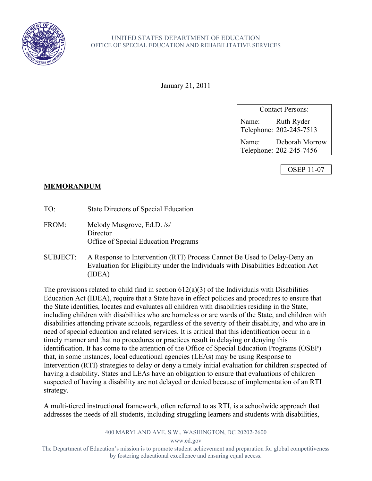

January 21, 2011

Contact Persons: Name: Ruth Ryder Telephone: 202-245-7513

Name: Deborah Morrow Telephone: 202-245-7456

OSEP 11-07

## **MEMORANDUM**

TO: State Directors of Special Education

FROM: Melody Musgrove, Ed.D. /s/ **Director** Office of Special Education Programs

SUBJECT: A Response to Intervention (RTI) Process Cannot Be Used to Delay-Deny an Evaluation for Eligibility under the Individuals with Disabilities Education Act (IDEA)

The provisions related to child find in section  $612(a)(3)$  of the Individuals with Disabilities Education Act (IDEA), require that a State have in effect policies and procedures to ensure that the State identifies, locates and evaluates all children with disabilities residing in the State, including children with disabilities who are homeless or are wards of the State, and children with disabilities attending private schools, regardless of the severity of their disability, and who are in need of special education and related services. It is critical that this identification occur in a timely manner and that no procedures or practices result in delaying or denying this identification. It has come to the attention of the Office of Special Education Programs (OSEP) that, in some instances, local educational agencies (LEAs) may be using Response to Intervention (RTI) strategies to delay or deny a timely initial evaluation for children suspected of having a disability. States and LEAs have an obligation to ensure that evaluations of children suspected of having a disability are not delayed or denied because of implementation of an RTI strategy.

A multi-tiered instructional framework, often referred to as RTI, is a schoolwide approach that addresses the needs of all students, including struggling learners and students with disabilities,

400 MARYLAND AVE. S.W., WASHINGTON, DC 20202-2600

www.ed.gov

The Department of Education's mission is to promote student achievement and preparation for global competitiveness by fostering educational excellence and ensuring equal access.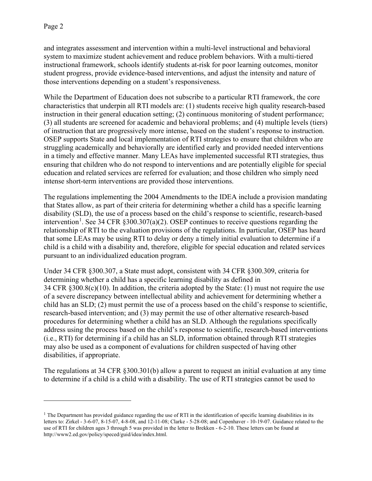and integrates assessment and intervention within a multi-level instructional and behavioral system to maximize student achievement and reduce problem behaviors. With a multi-tiered instructional framework, schools identify students at-risk for poor learning outcomes, monitor student progress, provide evidence-based interventions, and adjust the intensity and nature of those interventions depending on a student's responsiveness.

While the Department of Education does not subscribe to a particular RTI framework, the core characteristics that underpin all RTI models are: (1) students receive high quality research-based instruction in their general education setting; (2) continuous monitoring of student performance; (3) all students are screened for academic and behavioral problems; and (4) multiple levels (tiers) of instruction that are progressively more intense, based on the student's response to instruction. OSEP supports State and local implementation of RTI strategies to ensure that children who are struggling academically and behaviorally are identified early and provided needed interventions in a timely and effective manner. Many LEAs have implemented successful RTI strategies, thus ensuring that children who do not respond to interventions and are potentially eligible for special education and related services are referred for evaluation; and those children who simply need intense short-term interventions are provided those interventions.

The regulations implementing the 2004 Amendments to the IDEA include a provision mandating that States allow, as part of their criteria for determining whether a child has a specific learning disability (SLD), the use of a process based on the child's response to scientific, research-based intervention<sup>[1](#page-1-0)</sup>. See 34 CFR  $\S 300.307(a)(2)$ . OSEP continues to receive questions regarding the relationship of RTI to the evaluation provisions of the regulations. In particular, OSEP has heard that some LEAs may be using RTI to delay or deny a timely initial evaluation to determine if a child is a child with a disability and, therefore, eligible for special education and related services pursuant to an individualized education program.

Under 34 CFR §300.307, a State must adopt, consistent with 34 CFR §300.309, criteria for determining whether a child has a specific learning disability as defined in 34 CFR §300.8(c)(10). In addition, the criteria adopted by the State: (1) must not require the use of a severe discrepancy between intellectual ability and achievement for determining whether a child has an SLD; (2) must permit the use of a process based on the child's response to scientific, research-based intervention; and (3) may permit the use of other alternative research-based procedures for determining whether a child has an SLD. Although the regulations specifically address using the process based on the child's response to scientific, research-based interventions (i.e., RTI) for determining if a child has an SLD, information obtained through RTI strategies may also be used as a component of evaluations for children suspected of having other disabilities, if appropriate.

The regulations at 34 CFR §300.301(b) allow a parent to request an initial evaluation at any time to determine if a child is a child with a disability. The use of RTI strategies cannot be used to

<span id="page-1-0"></span> $<sup>1</sup>$  The Department has provided guidance regarding the use of RTI in the identification of specific learning disabilities in its</sup> letters to: Zirkel - 3-6-07, 8-15-07, 4-8-08, and 12-11-08; Clarke - 5-28-08; and Copenhaver - 10-19-07. Guidance related to the use of RTI for children ages 3 through 5 was provided in the letter to Brekken - 6-2-10. These letters can be found at http://www2.ed.gov/policy/speced/guid/idea/index.html.